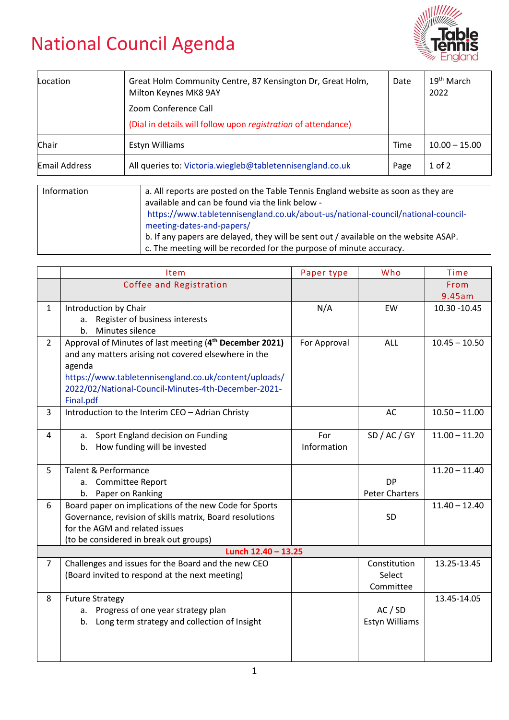## National Council Agenda



| Location      | Great Holm Community Centre, 87 Kensington Dr, Great Holm,<br>Milton Keynes MK8 9AY | Date | 19 <sup>th</sup> March<br>2022 |
|---------------|-------------------------------------------------------------------------------------|------|--------------------------------|
|               | Zoom Conference Call                                                                |      |                                |
|               | (Dial in details will follow upon registration of attendance)                       |      |                                |
| Chair         | Estyn Williams                                                                      | Time | $10.00 - 15.00$                |
| Email Address | All queries to: Victoria.wiegleb@tabletennisengland.co.uk                           | Page | $1$ of $2$                     |
|               |                                                                                     |      |                                |

| Information | a. All reports are posted on the Table Tennis England website as soon as they are    |  |  |
|-------------|--------------------------------------------------------------------------------------|--|--|
|             | available and can be found via the link below -                                      |  |  |
|             | https://www.tabletennisengland.co.uk/about-us/national-council/national-council-     |  |  |
|             | meeting-dates-and-papers/                                                            |  |  |
|             | b. If any papers are delayed, they will be sent out / available on the website ASAP. |  |  |
|             | c. The meeting will be recorded for the purpose of minute accuracy.                  |  |  |

| Item                                                                | Paper type                                                                                                                                                                                         | Who                   | <b>Time</b>     |  |  |  |  |
|---------------------------------------------------------------------|----------------------------------------------------------------------------------------------------------------------------------------------------------------------------------------------------|-----------------------|-----------------|--|--|--|--|
| Coffee and Registration                                             |                                                                                                                                                                                                    |                       | From            |  |  |  |  |
|                                                                     |                                                                                                                                                                                                    |                       | 9.45am          |  |  |  |  |
| Introduction by Chair                                               | N/A                                                                                                                                                                                                | EW                    | 10.30 - 10.45   |  |  |  |  |
| a.                                                                  |                                                                                                                                                                                                    |                       |                 |  |  |  |  |
| Minutes silence<br>b.                                               |                                                                                                                                                                                                    |                       |                 |  |  |  |  |
| Approval of Minutes of last meeting (4 <sup>th</sup> December 2021) | For Approval                                                                                                                                                                                       | ALL                   | $10.45 - 10.50$ |  |  |  |  |
| and any matters arising not covered elsewhere in the                |                                                                                                                                                                                                    |                       |                 |  |  |  |  |
| agenda                                                              |                                                                                                                                                                                                    |                       |                 |  |  |  |  |
| https://www.tabletennisengland.co.uk/content/uploads/               |                                                                                                                                                                                                    |                       |                 |  |  |  |  |
| 2022/02/National-Council-Minutes-4th-December-2021-                 |                                                                                                                                                                                                    |                       |                 |  |  |  |  |
| Final.pdf                                                           |                                                                                                                                                                                                    |                       |                 |  |  |  |  |
| Introduction to the Interim CEO - Adrian Christy                    |                                                                                                                                                                                                    | AC                    | $10.50 - 11.00$ |  |  |  |  |
|                                                                     |                                                                                                                                                                                                    |                       |                 |  |  |  |  |
| а.                                                                  | For                                                                                                                                                                                                | SD / AC / GY          | $11.00 - 11.20$ |  |  |  |  |
|                                                                     | Information                                                                                                                                                                                        |                       |                 |  |  |  |  |
|                                                                     |                                                                                                                                                                                                    |                       |                 |  |  |  |  |
| Talent & Performance                                                |                                                                                                                                                                                                    |                       | $11.20 - 11.40$ |  |  |  |  |
| a. Committee Report                                                 |                                                                                                                                                                                                    | <b>DP</b>             |                 |  |  |  |  |
| b. Paper on Ranking                                                 |                                                                                                                                                                                                    | <b>Peter Charters</b> |                 |  |  |  |  |
| Board paper on implications of the new Code for Sports              |                                                                                                                                                                                                    |                       | $11.40 - 12.40$ |  |  |  |  |
| Governance, revision of skills matrix, Board resolutions            |                                                                                                                                                                                                    | SD                    |                 |  |  |  |  |
| for the AGM and related issues                                      |                                                                                                                                                                                                    |                       |                 |  |  |  |  |
|                                                                     |                                                                                                                                                                                                    |                       |                 |  |  |  |  |
|                                                                     |                                                                                                                                                                                                    |                       |                 |  |  |  |  |
| Challenges and issues for the Board and the new CEO                 |                                                                                                                                                                                                    | Constitution          | 13.25-13.45     |  |  |  |  |
|                                                                     |                                                                                                                                                                                                    | Select                |                 |  |  |  |  |
|                                                                     |                                                                                                                                                                                                    | Committee             |                 |  |  |  |  |
| <b>Future Strategy</b>                                              |                                                                                                                                                                                                    |                       | 13.45-14.05     |  |  |  |  |
| a. Progress of one year strategy plan                               |                                                                                                                                                                                                    | AC / SD               |                 |  |  |  |  |
| b. Long term strategy and collection of Insight                     |                                                                                                                                                                                                    | <b>Estyn Williams</b> |                 |  |  |  |  |
|                                                                     |                                                                                                                                                                                                    |                       |                 |  |  |  |  |
|                                                                     |                                                                                                                                                                                                    |                       |                 |  |  |  |  |
|                                                                     |                                                                                                                                                                                                    |                       |                 |  |  |  |  |
|                                                                     | Register of business interests<br>Sport England decision on Funding<br>b. How funding will be invested<br>(to be considered in break out groups)<br>(Board invited to respond at the next meeting) | Lunch $12.40 - 13.25$ |                 |  |  |  |  |